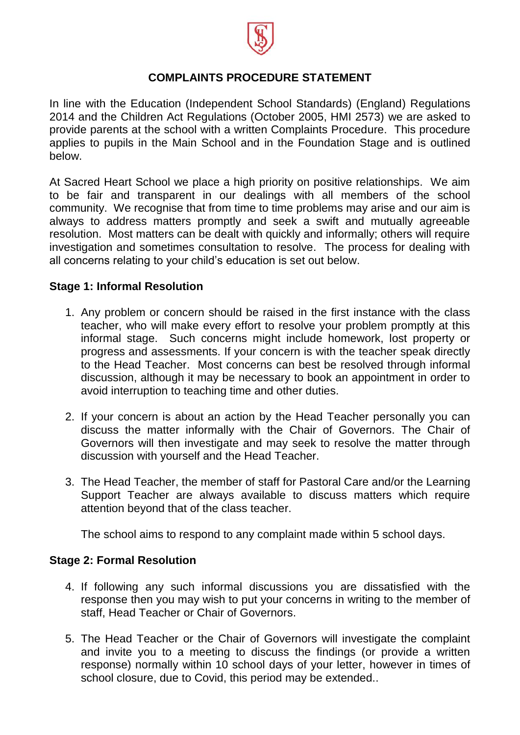

# **COMPLAINTS PROCEDURE STATEMENT**

In line with the Education (Independent School Standards) (England) Regulations 2014 and the Children Act Regulations (October 2005, HMI 2573) we are asked to provide parents at the school with a written Complaints Procedure. This procedure applies to pupils in the Main School and in the Foundation Stage and is outlined below.

At Sacred Heart School we place a high priority on positive relationships. We aim to be fair and transparent in our dealings with all members of the school community. We recognise that from time to time problems may arise and our aim is always to address matters promptly and seek a swift and mutually agreeable resolution. Most matters can be dealt with quickly and informally; others will require investigation and sometimes consultation to resolve. The process for dealing with all concerns relating to your child's education is set out below.

# **Stage 1: Informal Resolution**

- 1. Any problem or concern should be raised in the first instance with the class teacher, who will make every effort to resolve your problem promptly at this informal stage. Such concerns might include homework, lost property or progress and assessments. If your concern is with the teacher speak directly to the Head Teacher. Most concerns can best be resolved through informal discussion, although it may be necessary to book an appointment in order to avoid interruption to teaching time and other duties.
- 2. If your concern is about an action by the Head Teacher personally you can discuss the matter informally with the Chair of Governors. The Chair of Governors will then investigate and may seek to resolve the matter through discussion with yourself and the Head Teacher.
- 3. The Head Teacher, the member of staff for Pastoral Care and/or the Learning Support Teacher are always available to discuss matters which require attention beyond that of the class teacher.

The school aims to respond to any complaint made within 5 school days.

# **Stage 2: Formal Resolution**

- 4. If following any such informal discussions you are dissatisfied with the response then you may wish to put your concerns in writing to the member of staff, Head Teacher or Chair of Governors.
- 5. The Head Teacher or the Chair of Governors will investigate the complaint and invite you to a meeting to discuss the findings (or provide a written response) normally within 10 school days of your letter, however in times of school closure, due to Covid, this period may be extended..